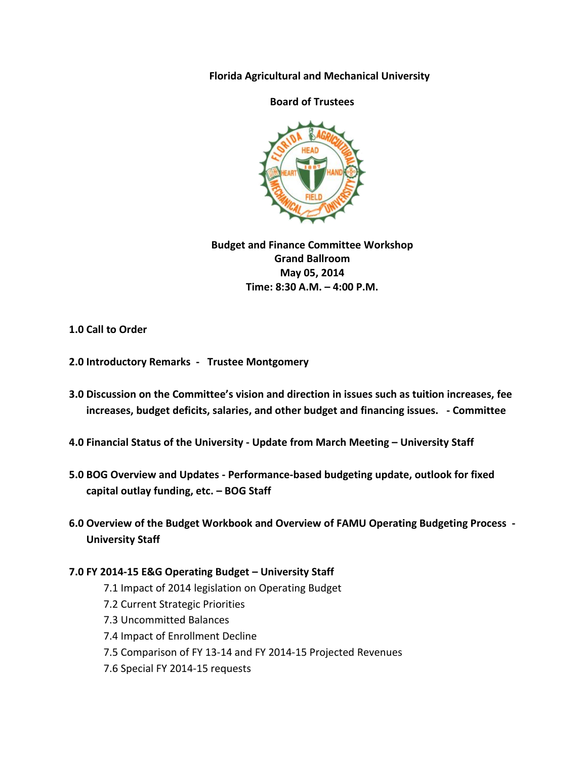**Florida Agricultural and Mechanical University**

## **Board of Trustees**



**Budget and Finance Committee Workshop Grand Ballroom May 05, 2014 Time: 8:30 A.M. – 4:00 P.M.**

**1.0 Call to Order**

- **2.0 Introductory Remarks Trustee Montgomery**
- **3.0 Discussion on the Committee's vision and direction in issues such as tuition increases, fee increases, budget deficits, salaries, and other budget and financing issues. - Committee**
- **4.0 Financial Status of the University - Update from March Meeting – University Staff**
- **5.0 BOG Overview and Updates - Performance-based budgeting update, outlook for fixed capital outlay funding, etc. – BOG Staff**
- **6.0 Overview of the Budget Workbook and Overview of FAMU Operating Budgeting Process - University Staff**

## **7.0 FY 2014-15 E&G Operating Budget – University Staff**

- 7.1 Impact of 2014 legislation on Operating Budget
- 7.2 Current Strategic Priorities
- 7.3 Uncommitted Balances
- 7.4 Impact of Enrollment Decline
- 7.5 Comparison of FY 13-14 and FY 2014-15 Projected Revenues
- 7.6 Special FY 2014-15 requests